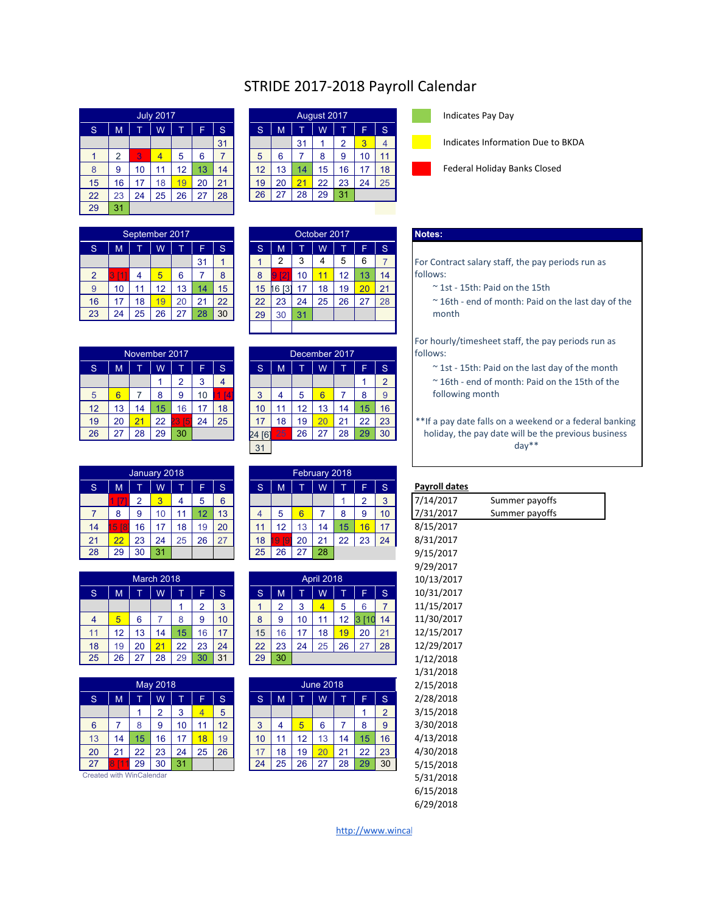## STRIDE 2017-2018 Payroll Calendar

|    |    |    | <b>July 2017</b> |    |    |    |    |    |    | August 2017 |    |    |    |
|----|----|----|------------------|----|----|----|----|----|----|-------------|----|----|----|
| S  | M  | T  | W                |    | F  | S  | S  | M  |    | W           |    | F  | S  |
|    |    |    |                  |    |    | 31 |    |    | 31 |             | 2  | 3  | 4  |
| 1  | 2  | 3  | 4                | 5  | 6  | 7  | 5  | 6  |    | 8           | 9  | 10 | 11 |
| 8  | 9  | 10 | 11               | 12 | 13 | 14 | 12 | 13 | 14 | 15          | 16 | 17 | 18 |
| 15 | 16 | 17 | 18               | 19 | 20 | 21 | 19 | 20 | 21 | 22          | 23 | 24 | 25 |
| 22 | 23 | 24 | 25               | 26 | 27 | 28 | 26 | 27 | 28 | 29          | 31 |    |    |
| 29 | 31 |    |                  |    |    |    |    |    |    |             |    |    |    |

|    |      |                  |    | September 2017 |                 |    |    |                 |    | October 2017 |    |                 |    | Notes:              |
|----|------|------------------|----|----------------|-----------------|----|----|-----------------|----|--------------|----|-----------------|----|---------------------|
| S  | M    |                  | W  |                | ⊢               | S  | S  | M               |    | W            |    |                 | S  |                     |
|    |      |                  |    |                | 31              |    |    | っ               | 3  | 4            | 5  | 6               |    | <b>For Contract</b> |
| າ  | 11 T | $\boldsymbol{A}$ | 5  | 6              |                 | 8  |    | ิฮ              | 10 | и            | 12 | 13              | 14 | follows:            |
| 9  | 10   | 11               | 12 | 13             | 14 <sub>1</sub> | 15 | 15 | <b>13</b><br>16 |    | 18           | 19 | $\overline{20}$ | 21 | $\sim$ 1st - 1      |
| 16 | 17   | 18               | 19 | 20             | 21              | 22 | 22 | 23              | 24 | 25           | 26 | 27              | 28 | $~^{\sim}$ 16th -   |
| 23 | 24   | 25               | 26 | 27             | 28              | 30 | 29 | 30              | 31 |              |    |                 |    | month               |

|    |    |    | November 2017 |         |    |    |     |    | December 2017 |    |    |    |    |
|----|----|----|---------------|---------|----|----|-----|----|---------------|----|----|----|----|
| S  | M  |    | W             |         | F  | S  | S   | M  |               | W  |    | F  | S  |
|    |    |    |               | 2       | 3  | 4  |     |    |               |    |    |    |    |
| 5  | 6  |    | 8             | 9       | 10 | Δ. | 3   | 4  | 5             | 6  |    | 8  | 9  |
| 12 | 13 | 14 | 15            | 16      | 17 | 18 | 10  | 11 | 12            | 13 | 14 | 15 | 16 |
| 19 | 20 | 21 | 22            | 5<br>23 | 24 | 25 |     | 18 | 19            | 20 | 21 | 22 | 23 |
| 26 | 27 | 28 | 29            | 30      |    |    | [6] | 25 | 26            | 27 | 28 | 29 | 30 |

|    |                 |    | January 2018 |    |    |    |    |            |    | February 2018 |    |    |    |              |
|----|-----------------|----|--------------|----|----|----|----|------------|----|---------------|----|----|----|--------------|
| S  | M               |    | Ŵ            |    | F  | 'S | 'S | M          |    | W             |    | ┕  | S. | Payroll date |
|    | アフィ             | ⌒  | 3            | 4  | 5  | 6  |    |            |    |               |    | റ  | 3  | 7/14/2017    |
|    | 8               | 9  | 10           | 11 | 12 | 13 | 4  | 5          | 6  |               | 8  | 9  | 10 | 7/31/2017    |
| 14 | 5 <sub>18</sub> | 16 | 17           | 18 | 19 | 20 | 11 | 12         | 13 | 14            | 15 | 6  | 17 | 8/15/2017    |
| 21 | 22              | 23 | 24           | 25 | 26 | 27 | 18 | <b>ISI</b> | 20 | 21            | 22 | 23 | 24 | 8/31/2017    |
| 28 | 29              | 30 | 31           |    |    |    | 25 | 26         | 27 | 28            |    |    |    | 9/15/2017    |

|    |    |    |            |    |    |    |    |    |    |                   |                |    |    | $-7$ - $-7$ - $-7$ |
|----|----|----|------------|----|----|----|----|----|----|-------------------|----------------|----|----|--------------------|
|    |    |    | March 2018 |    |    |    |    |    |    | <b>April 2018</b> |                |    |    | 10/13/2017         |
| S  | M  |    | W          |    | ш. | S  | S  | M  |    | W                 |                |    | S  | 10/31/2017         |
|    |    |    |            |    | ົ  | 3  |    | ⌒  | 3  | 4                 | 5              | 6  |    | 11/15/2017         |
| 4  | 5  | 6  |            | 8  | 9  | 10 | 8  | 9  | 10 |                   | 12             |    | 14 | 11/30/2017         |
| 11 | 12 | 13 | 14         | 15 | 16 | 17 | 15 | 16 | ⇁  | 18                | $\overline{9}$ | 20 | 21 | 12/15/2017         |
| 18 | 19 | 20 | 21         | 22 | 23 | 24 | 22 | 23 | 24 | 25                | 26             |    | 28 | 12/29/2017         |
| 25 | 26 | 27 | 28         | 29 | 30 | 31 | 29 | 30 |    |                   |                |    |    | 1/12/2018          |

|    |    |    |          |    |    |    |                 |    |    |                  |    |    |                | 11 J 17 LU 10 |
|----|----|----|----------|----|----|----|-----------------|----|----|------------------|----|----|----------------|---------------|
|    |    |    | May 2018 |    |    |    |                 |    |    | <b>June 2018</b> |    |    |                | 2/15/2018     |
| 'S | М  |    | W        |    | Ē  | S  | 'S              | M  |    | W                |    | E  | S              | 2/28/2018     |
|    |    |    | ົ        | 3  | 4  | 5  |                 |    |    |                  |    |    | $\overline{2}$ | 3/15/2018     |
| 6  |    | 8  | 9        | 10 | 11 | 12 | 3               | 4  | 5  | 6                |    | 8  | 9              | 3/30/2018     |
| 13 | 14 | 15 | 16       | 17 | 18 | 19 | 10 <sup>°</sup> | 11 | 12 | 13               | 14 | 15 | 16             | 4/13/2018     |
| 20 | 21 | 22 | 23       | 24 | 25 | 26 | 17              | 18 | 19 | 20               | 21 | 22 | 23             | 4/30/2018     |
| 27 |    | 29 | 30       | 31 |    |    | 24              | 25 | 26 | 27               | 28 | 29 | 30             | 5/15/2018     |

Created with WinCalendar

|    | <b>July 2017</b> |    |    |    |    |    |    | August 2017 |    |    |    |  | Indicates Pay Day  |
|----|------------------|----|----|----|----|----|----|-------------|----|----|----|--|--------------------|
|    | W                |    |    | S  | S  | M  |    | W           |    |    | S  |  |                    |
|    |                  |    |    | 31 |    |    | 31 |             | 2  | 3  | 4  |  | Indicates Informat |
| 3  | 4                | 5  | 6  |    | 5  | 6  |    | 8           | 9  | 10 | 11 |  |                    |
| 10 | 11               | 12 | 13 | 14 | 12 | 13 | 14 | 15          | 16 |    | 18 |  | Federal Holiday Ba |
| 17 | 18               | 19 | 20 | 21 | 19 | 20 | 21 | 22          | 23 | 24 | 25 |  |                    |
| 24 | 25               | 26 | 27 | 28 | 26 | 27 | 28 | 29          | 31 |    |    |  |                    |
|    |                  |    |    |    |    |    |    |             |    |    |    |  |                    |

| Indicates Pay Day |  |  |
|-------------------|--|--|
|-------------------|--|--|

Indicates Information Due to BKDA

Federal Holiday Banks Closed

|    | September 2017 |    |     |    |    |    |    | October 2017 |    |    |              | Notes:       |
|----|----------------|----|-----|----|----|----|----|--------------|----|----|--------------|--------------|
|    | W              |    | F   | S  | S  | M  |    | W            |    | ⊢  | <sub>S</sub> |              |
|    |                |    | 31  |    |    | 2  | 3  | 4            | 5  | 6  |              | For Cor      |
| 4  | 5              | 6  |     | 8  | 8  | 21 | 10 | 11           | 12 | 13 | 14           | follows      |
| 11 | 12             | 13 | 14. | 15 | 15 | 6  | 17 | 18           | 19 | 20 | 21           | $~^{\sim}$ 1 |
| 18 | 19             | 20 | 21  | 22 | 22 | 23 | 24 | 25           | 26 | 27 | 28           | $~^{\sim}$ 1 |
| 25 | 26             | 27 | 28  | 30 | 29 | 30 | 31 |              |    |    |              | mc           |
|    |                |    |     |    |    |    |    |              |    |    |              |              |

## December 2017 follows: 5 6 7 8 9 10 11 [4] 3 4 5 6 7 8 9 following month 24 [6<sup>1</sup> 25 26 27 28 29 30 31

|                |                      |        |    |    | February 2018 |    |      |                |    |    |    |    | January 2018 |    |    |
|----------------|----------------------|--------|----|----|---------------|----|------|----------------|----|----|----|----|--------------|----|----|
|                | <b>Payroll dates</b> | IS.    |    |    | W             |    | M    | S              | S  |    |    | W  |              | M  | S. |
| Summer payoffs | 7/14/2017            | ◠<br>J |    |    |               |    |      |                | 6  | 5  | 4  |    |              |    |    |
| Summer payoffs | 7/31/2017            | 10     | 9  | 8  |               |    | 5    |                | 13 | 12 | 11 | 10 | 9            | 8  |    |
|                | 8/15/2017            |        | 6  | 15 | 14            | 13 | 12   | $\overline{A}$ | 20 | 19 | 18 |    | 16           | 8  | 14 |
|                | 8/31/2017            | 24     | 23 | 22 | 21            | 20 | - 19 | 18             | 27 | 26 | 25 | 24 | 23           | 22 | 21 |
|                | 9/15/2017            |        |    |    | 28            | 27 | 26   | 25             |    |    |    | 31 | 30           | 29 | 28 |

|    |    |    | March 2018 |    |    |     |    |    |    | <b>April 2018</b> |    |    |    | 10/13/2017 |
|----|----|----|------------|----|----|-----|----|----|----|-------------------|----|----|----|------------|
| S  | M  |    | W          |    | ┕  | lS. | 'S | M  |    | W                 |    | F  | 'S | 10/31/2017 |
|    |    |    |            |    | 2  | 3   |    | o  | 3  | 4                 | 5  | 6  |    | 11/15/2017 |
| 4  | 5  | 6  |            | 8  | 9  | 10  | 8  | 9  | 10 | 11                | 12 | 3  | 14 | 11/30/2017 |
| 11 | 12 | 13 | 14         | 15 | 16 | 17  | 15 | 16 | 17 | 18                | 19 | 20 | 21 | 12/15/2017 |
| 18 | 19 | 20 | 21         | 22 | 23 | 24  | 22 | 23 | 24 | 25                | 26 | 27 | 28 | 12/29/2017 |
| 25 | 26 | 27 | 28         | 29 | 30 | 31  | 29 | 30 |    |                   |    |    |    | 1/12/2018  |
|    |    |    |            |    |    |     |    |    |    |                   |    |    |    |            |

| 2/15/2018 |                |    |    | <b>June 2018</b> |    |    |     |     |    |    | May 2018 |    |    |    |
|-----------|----------------|----|----|------------------|----|----|-----|-----|----|----|----------|----|----|----|
| 2/28/2018 | S.             |    |    | W                |    | M  | IS. | lS. | F  |    | W        |    | M  | S  |
| 3/15/2018 | $\overline{2}$ |    |    |                  |    |    |     | 5   | 4  | 3  | o        |    |    |    |
| 3/30/2018 | 9              | 8  |    | 6                | 5  | 4  | 3   | 12  | 11 | 10 | 9        | 8  |    | 6  |
| 4/13/2018 | 16             | 15 | 14 | 13               | 12 | 11 | 10  | 19  | 18 | 17 | 16       | 15 | 14 | 13 |
| 4/30/2018 | 23             | 22 | 21 | 20               | 19 | 18 | 17  | 26  | 25 | 24 | 23       | 22 | 21 | 20 |
| 5/15/2018 | 30             | 29 | 28 | 27               | 26 | 25 | 24  |     |    | 31 | 30       | 29 |    | 27 |

For Contract salary staff, the pay periods run as follows:

- $\sim$  1st 15th: Paid on the 15th
- $\sim$  16th end of month: Paid on the last day of the

For hourly/timesheet staff, the pay periods run as

- $S$  M  $T$  W  $T$  F  $S$   $\rightarrow$  1st 15th: Paid on the last day of the month
	- 1  $2 \times 16$ th end of month: Paid on the 15th of the
- 17 | 18 | 19 | 20 | 21 | 22 | 23 |  $\mathbb{R}^*$  If a pay date falls on a weekend or a federal banking holiday, the pay date will be the previous business day\*\*

| <u>Payron dates</u> |             |
|---------------------|-------------|
| 7/14/2017           | Summer payo |
| 7/31/2017           | Summer payo |
| 8/15/2017           |             |
| 8/31/2017           |             |
| 9/15/2017           |             |
| 9/29/2017           |             |
| 10/13/2017          |             |
| 10/31/2017          |             |
| 11/15/2017          |             |
| 11/30/2017          |             |
| 12/15/2017          |             |
| 12/29/2017          |             |
| 1/12/2018           |             |
| 1/31/2018           |             |
| 2/15/2018           |             |
| 2/28/2018           |             |
| 3/15/2018           |             |
| 3/30/2018           |             |
| 4/13/2018           |             |
| 4/30/2018           |             |
| 5/15/2018           |             |
| 5/31/2018           |             |
| 6/15/2018           |             |
| 6/29/2018           |             |

[http://www.wincal](http://www.wincalendar.com/School-Calendar)